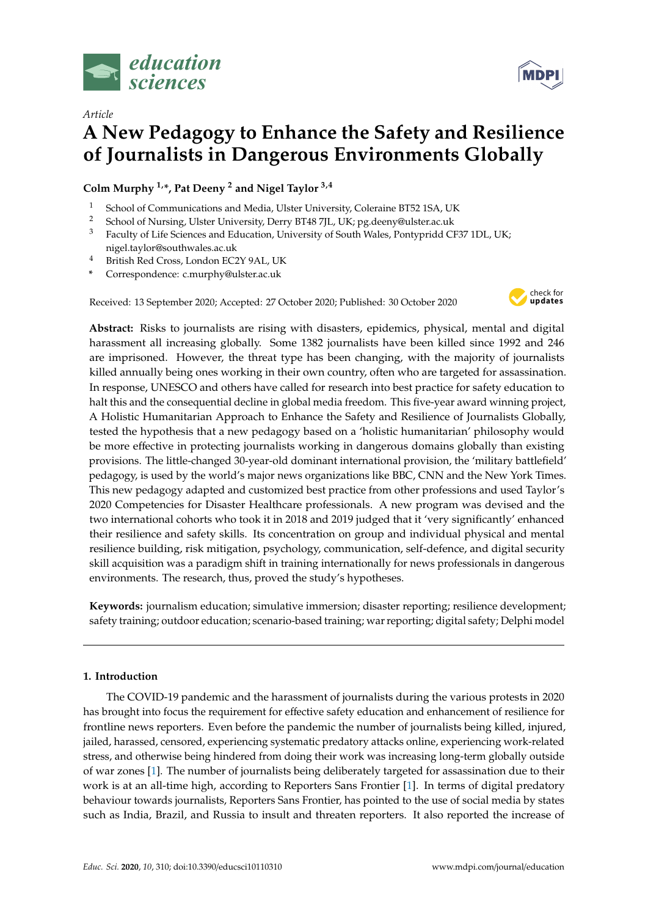

*Article*



# **A New Pedagogy to Enhance the Safety and Resilience of Journalists in Dangerous Environments Globally**

# **Colm Murphy 1,\*, Pat Deeny <sup>2</sup> and Nigel Taylor 3,4**

- 1 School of Communications and Media, Ulster University, Coleraine BT52 1SA, UK<br>2 School of Nursing Ulster University, Denny BT48 7IL UK; ng deeny@ulster.co.uk
- <sup>2</sup> School of Nursing, Ulster University, Derry BT48 7JL, UK; pg.deeny@ulster.ac.uk<br><sup>3</sup> Easylty of Life Sciences and Education, University of South Wales, Pentruridd Cl
- Faculty of Life Sciences and Education, University of South Wales, Pontypridd CF37 1DL, UK; nigel.taylor@southwales.ac.uk
- <sup>4</sup> British Red Cross, London EC2Y 9AL, UK
- **\*** Correspondence: c.murphy@ulster.ac.uk

Received: 13 September 2020; Accepted: 27 October 2020; Published: 30 October 2020



**Abstract:** Risks to journalists are rising with disasters, epidemics, physical, mental and digital harassment all increasing globally. Some 1382 journalists have been killed since 1992 and 246 are imprisoned. However, the threat type has been changing, with the majority of journalists killed annually being ones working in their own country, often who are targeted for assassination. In response, UNESCO and others have called for research into best practice for safety education to halt this and the consequential decline in global media freedom. This five-year award winning project, A Holistic Humanitarian Approach to Enhance the Safety and Resilience of Journalists Globally, tested the hypothesis that a new pedagogy based on a 'holistic humanitarian' philosophy would be more effective in protecting journalists working in dangerous domains globally than existing provisions. The little-changed 30-year-old dominant international provision, the 'military battlefield' pedagogy, is used by the world's major news organizations like BBC, CNN and the New York Times. This new pedagogy adapted and customized best practice from other professions and used Taylor's 2020 Competencies for Disaster Healthcare professionals. A new program was devised and the two international cohorts who took it in 2018 and 2019 judged that it 'very significantly' enhanced their resilience and safety skills. Its concentration on group and individual physical and mental resilience building, risk mitigation, psychology, communication, self-defence, and digital security skill acquisition was a paradigm shift in training internationally for news professionals in dangerous environments. The research, thus, proved the study's hypotheses.

**Keywords:** journalism education; simulative immersion; disaster reporting; resilience development; safety training; outdoor education; scenario-based training; war reporting; digital safety; Delphi model

### **1. Introduction**

The COVID-19 pandemic and the harassment of journalists during the various protests in 2020 has brought into focus the requirement for effective safety education and enhancement of resilience for frontline news reporters. Even before the pandemic the number of journalists being killed, injured, jailed, harassed, censored, experiencing systematic predatory attacks online, experiencing work-related stress, and otherwise being hindered from doing their work was increasing long-term globally outside of war zones [\[1\]](#page-13-0). The number of journalists being deliberately targeted for assassination due to their work is at an all-time high, according to Reporters Sans Frontier [\[1\]](#page-13-0). In terms of digital predatory behaviour towards journalists, Reporters Sans Frontier, has pointed to the use of social media by states such as India, Brazil, and Russia to insult and threaten reporters. It also reported the increase of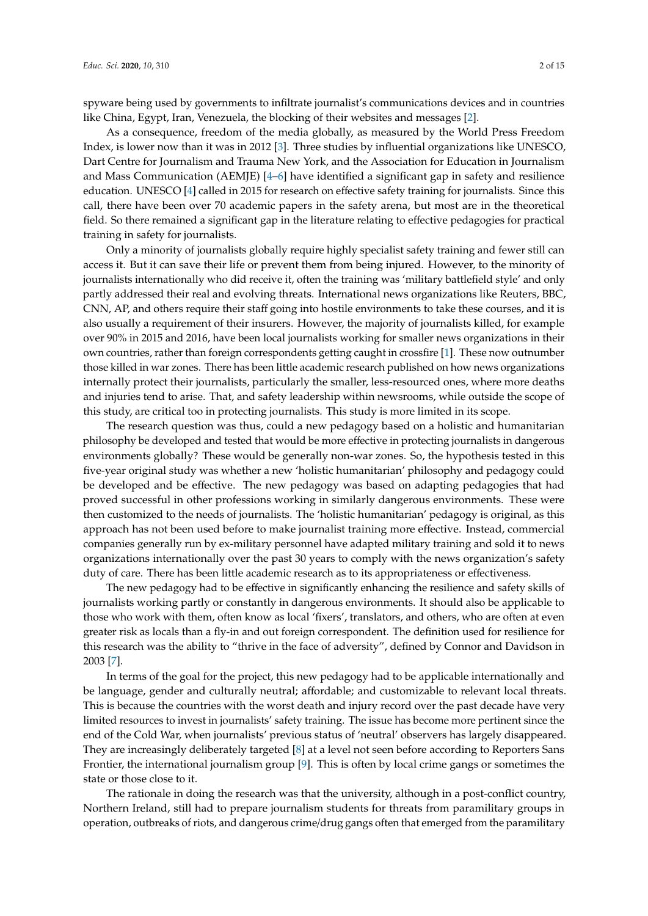spyware being used by governments to infiltrate journalist's communications devices and in countries like China, Egypt, Iran, Venezuela, the blocking of their websites and messages [\[2\]](#page-13-1).

As a consequence, freedom of the media globally, as measured by the World Press Freedom Index, is lower now than it was in 2012 [\[3\]](#page-13-2). Three studies by influential organizations like UNESCO, Dart Centre for Journalism and Trauma New York, and the Association for Education in Journalism and Mass Communication (AEMJE) [\[4](#page-13-3)[–6\]](#page-13-4) have identified a significant gap in safety and resilience education. UNESCO [\[4\]](#page-13-3) called in 2015 for research on effective safety training for journalists. Since this call, there have been over 70 academic papers in the safety arena, but most are in the theoretical field. So there remained a significant gap in the literature relating to effective pedagogies for practical training in safety for journalists.

Only a minority of journalists globally require highly specialist safety training and fewer still can access it. But it can save their life or prevent them from being injured. However, to the minority of journalists internationally who did receive it, often the training was 'military battlefield style' and only partly addressed their real and evolving threats. International news organizations like Reuters, BBC, CNN, AP, and others require their staff going into hostile environments to take these courses, and it is also usually a requirement of their insurers. However, the majority of journalists killed, for example over 90% in 2015 and 2016, have been local journalists working for smaller news organizations in their own countries, rather than foreign correspondents getting caught in crossfire [\[1\]](#page-13-0). These now outnumber those killed in war zones. There has been little academic research published on how news organizations internally protect their journalists, particularly the smaller, less-resourced ones, where more deaths and injuries tend to arise. That, and safety leadership within newsrooms, while outside the scope of this study, are critical too in protecting journalists. This study is more limited in its scope.

The research question was thus, could a new pedagogy based on a holistic and humanitarian philosophy be developed and tested that would be more effective in protecting journalists in dangerous environments globally? These would be generally non-war zones. So, the hypothesis tested in this five-year original study was whether a new 'holistic humanitarian' philosophy and pedagogy could be developed and be effective. The new pedagogy was based on adapting pedagogies that had proved successful in other professions working in similarly dangerous environments. These were then customized to the needs of journalists. The 'holistic humanitarian' pedagogy is original, as this approach has not been used before to make journalist training more effective. Instead, commercial companies generally run by ex-military personnel have adapted military training and sold it to news organizations internationally over the past 30 years to comply with the news organization's safety duty of care. There has been little academic research as to its appropriateness or effectiveness.

The new pedagogy had to be effective in significantly enhancing the resilience and safety skills of journalists working partly or constantly in dangerous environments. It should also be applicable to those who work with them, often know as local 'fixers', translators, and others, who are often at even greater risk as locals than a fly-in and out foreign correspondent. The definition used for resilience for this research was the ability to "thrive in the face of adversity", defined by Connor and Davidson in 2003 [\[7\]](#page-13-5).

In terms of the goal for the project, this new pedagogy had to be applicable internationally and be language, gender and culturally neutral; affordable; and customizable to relevant local threats. This is because the countries with the worst death and injury record over the past decade have very limited resources to invest in journalists' safety training. The issue has become more pertinent since the end of the Cold War, when journalists' previous status of 'neutral' observers has largely disappeared. They are increasingly deliberately targeted [\[8\]](#page-13-6) at a level not seen before according to Reporters Sans Frontier, the international journalism group [\[9\]](#page-13-7). This is often by local crime gangs or sometimes the state or those close to it.

The rationale in doing the research was that the university, although in a post-conflict country, Northern Ireland, still had to prepare journalism students for threats from paramilitary groups in operation, outbreaks of riots, and dangerous crime/drug gangs often that emerged from the paramilitary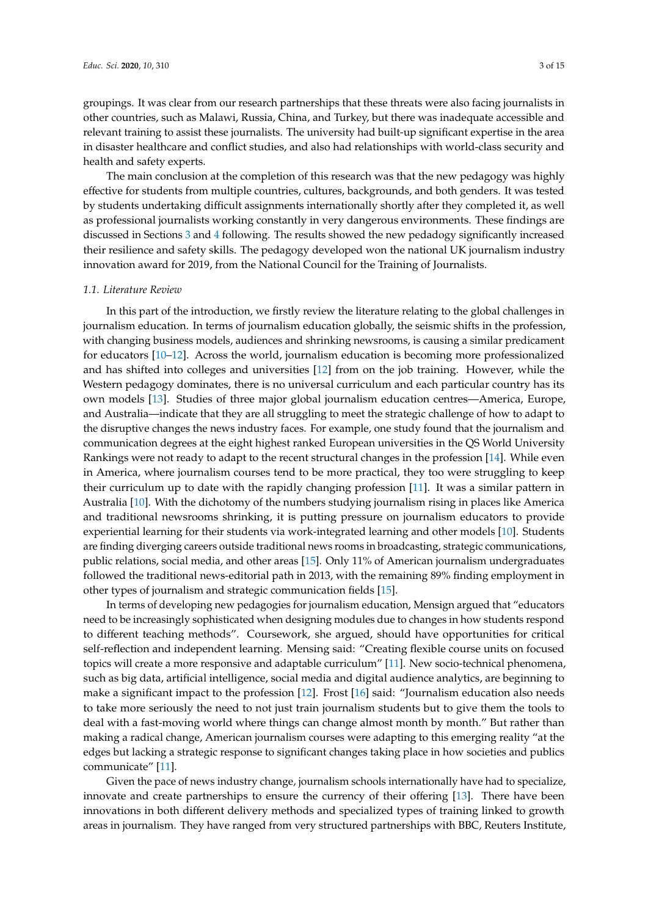groupings. It was clear from our research partnerships that these threats were also facing journalists in other countries, such as Malawi, Russia, China, and Turkey, but there was inadequate accessible and relevant training to assist these journalists. The university had built-up significant expertise in the area in disaster healthcare and conflict studies, and also had relationships with world-class security and health and safety experts.

The main conclusion at the completion of this research was that the new pedagogy was highly effective for students from multiple countries, cultures, backgrounds, and both genders. It was tested by students undertaking difficult assignments internationally shortly after they completed it, as well as professional journalists working constantly in very dangerous environments. These findings are discussed in Sections [3](#page-9-0) and [4](#page-9-1) following. The results showed the new pedadogy significantly increased their resilience and safety skills. The pedagogy developed won the national UK journalism industry innovation award for 2019, from the National Council for the Training of Journalists.

#### *1.1. Literature Review*

In this part of the introduction, we firstly review the literature relating to the global challenges in journalism education. In terms of journalism education globally, the seismic shifts in the profession, with changing business models, audiences and shrinking newsrooms, is causing a similar predicament for educators [\[10–](#page-13-8)[12\]](#page-13-9). Across the world, journalism education is becoming more professionalized and has shifted into colleges and universities [\[12\]](#page-13-9) from on the job training. However, while the Western pedagogy dominates, there is no universal curriculum and each particular country has its own models [\[13\]](#page-13-10). Studies of three major global journalism education centres—America, Europe, and Australia—indicate that they are all struggling to meet the strategic challenge of how to adapt to the disruptive changes the news industry faces. For example, one study found that the journalism and communication degrees at the eight highest ranked European universities in the QS World University Rankings were not ready to adapt to the recent structural changes in the profession [\[14\]](#page-13-11). While even in America, where journalism courses tend to be more practical, they too were struggling to keep their curriculum up to date with the rapidly changing profession [\[11\]](#page-13-12). It was a similar pattern in Australia [\[10\]](#page-13-8). With the dichotomy of the numbers studying journalism rising in places like America and traditional newsrooms shrinking, it is putting pressure on journalism educators to provide experiential learning for their students via work-integrated learning and other models [\[10\]](#page-13-8). Students are finding diverging careers outside traditional news rooms in broadcasting, strategic communications, public relations, social media, and other areas [\[15\]](#page-13-13). Only 11% of American journalism undergraduates followed the traditional news-editorial path in 2013, with the remaining 89% finding employment in other types of journalism and strategic communication fields [\[15\]](#page-13-13).

In terms of developing new pedagogies for journalism education, Mensign argued that "educators need to be increasingly sophisticated when designing modules due to changes in how students respond to different teaching methods". Coursework, she argued, should have opportunities for critical self-reflection and independent learning. Mensing said: "Creating flexible course units on focused topics will create a more responsive and adaptable curriculum" [\[11\]](#page-13-12). New socio-technical phenomena, such as big data, artificial intelligence, social media and digital audience analytics, are beginning to make a significant impact to the profession [\[12\]](#page-13-9). Frost [\[16\]](#page-14-0) said: "Journalism education also needs to take more seriously the need to not just train journalism students but to give them the tools to deal with a fast-moving world where things can change almost month by month." But rather than making a radical change, American journalism courses were adapting to this emerging reality "at the edges but lacking a strategic response to significant changes taking place in how societies and publics communicate" [\[11\]](#page-13-12).

Given the pace of news industry change, journalism schools internationally have had to specialize, innovate and create partnerships to ensure the currency of their offering [\[13\]](#page-13-10). There have been innovations in both different delivery methods and specialized types of training linked to growth areas in journalism. They have ranged from very structured partnerships with BBC, Reuters Institute,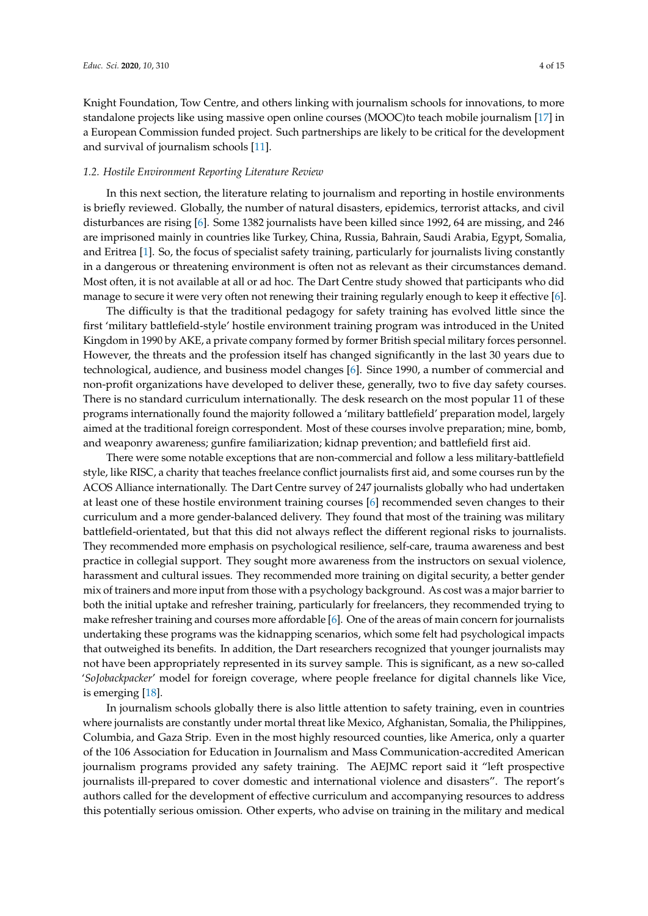Knight Foundation, Tow Centre, and others linking with journalism schools for innovations, to more standalone projects like using massive open online courses (MOOC)to teach mobile journalism [\[17\]](#page-14-1) in a European Commission funded project. Such partnerships are likely to be critical for the development and survival of journalism schools [\[11\]](#page-13-12).

#### *1.2. Hostile Environment Reporting Literature Review*

In this next section, the literature relating to journalism and reporting in hostile environments is briefly reviewed. Globally, the number of natural disasters, epidemics, terrorist attacks, and civil disturbances are rising [\[6\]](#page-13-4). Some 1382 journalists have been killed since 1992, 64 are missing, and 246 are imprisoned mainly in countries like Turkey, China, Russia, Bahrain, Saudi Arabia, Egypt, Somalia, and Eritrea [\[1\]](#page-13-0). So, the focus of specialist safety training, particularly for journalists living constantly in a dangerous or threatening environment is often not as relevant as their circumstances demand. Most often, it is not available at all or ad hoc. The Dart Centre study showed that participants who did manage to secure it were very often not renewing their training regularly enough to keep it effective [\[6\]](#page-13-4).

The difficulty is that the traditional pedagogy for safety training has evolved little since the first 'military battlefield-style' hostile environment training program was introduced in the United Kingdom in 1990 by AKE, a private company formed by former British special military forces personnel. However, the threats and the profession itself has changed significantly in the last 30 years due to technological, audience, and business model changes [\[6\]](#page-13-4). Since 1990, a number of commercial and non-profit organizations have developed to deliver these, generally, two to five day safety courses. There is no standard curriculum internationally. The desk research on the most popular 11 of these programs internationally found the majority followed a 'military battlefield' preparation model, largely aimed at the traditional foreign correspondent. Most of these courses involve preparation; mine, bomb, and weaponry awareness; gunfire familiarization; kidnap prevention; and battlefield first aid.

There were some notable exceptions that are non-commercial and follow a less military-battlefield style, like RISC, a charity that teaches freelance conflict journalists first aid, and some courses run by the ACOS Alliance internationally. The Dart Centre survey of 247 journalists globally who had undertaken at least one of these hostile environment training courses [\[6\]](#page-13-4) recommended seven changes to their curriculum and a more gender-balanced delivery. They found that most of the training was military battlefield-orientated, but that this did not always reflect the different regional risks to journalists. They recommended more emphasis on psychological resilience, self-care, trauma awareness and best practice in collegial support. They sought more awareness from the instructors on sexual violence, harassment and cultural issues. They recommended more training on digital security, a better gender mix of trainers and more input from those with a psychology background. As cost was a major barrier to both the initial uptake and refresher training, particularly for freelancers, they recommended trying to make refresher training and courses more affordable [\[6\]](#page-13-4). One of the areas of main concern for journalists undertaking these programs was the kidnapping scenarios, which some felt had psychological impacts that outweighed its benefits. In addition, the Dart researchers recognized that younger journalists may not have been appropriately represented in its survey sample. This is significant, as a new so-called '*SoJobackpacker*' model for foreign coverage, where people freelance for digital channels like Vice, is emerging [\[18\]](#page-14-2).

In journalism schools globally there is also little attention to safety training, even in countries where journalists are constantly under mortal threat like Mexico, Afghanistan, Somalia, the Philippines, Columbia, and Gaza Strip. Even in the most highly resourced counties, like America, only a quarter of the 106 Association for Education in Journalism and Mass Communication-accredited American journalism programs provided any safety training. The AEJMC report said it "left prospective journalists ill-prepared to cover domestic and international violence and disasters". The report's authors called for the development of effective curriculum and accompanying resources to address this potentially serious omission. Other experts, who advise on training in the military and medical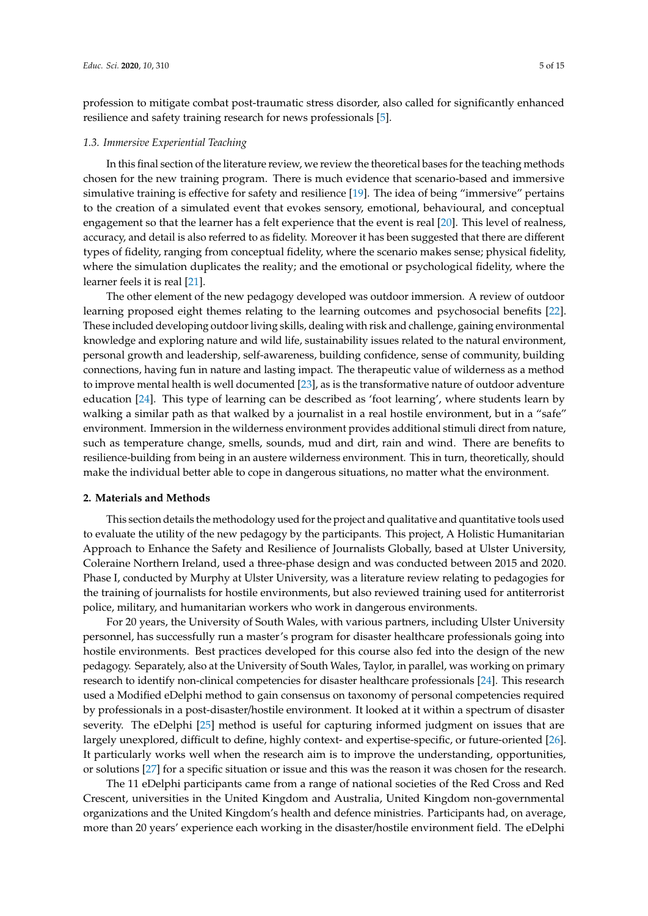profession to mitigate combat post-traumatic stress disorder, also called for significantly enhanced resilience and safety training research for news professionals [\[5\]](#page-13-14).

#### *1.3. Immersive Experiential Teaching*

In this final section of the literature review, we review the theoretical bases for the teaching methods chosen for the new training program. There is much evidence that scenario-based and immersive simulative training is effective for safety and resilience [\[19\]](#page-14-3). The idea of being "immersive" pertains to the creation of a simulated event that evokes sensory, emotional, behavioural, and conceptual engagement so that the learner has a felt experience that the event is real [\[20\]](#page-14-4). This level of realness, accuracy, and detail is also referred to as fidelity. Moreover it has been suggested that there are different types of fidelity, ranging from conceptual fidelity, where the scenario makes sense; physical fidelity, where the simulation duplicates the reality; and the emotional or psychological fidelity, where the learner feels it is real [\[21\]](#page-14-5).

The other element of the new pedagogy developed was outdoor immersion. A review of outdoor learning proposed eight themes relating to the learning outcomes and psychosocial benefits [\[22\]](#page-14-6). These included developing outdoor living skills, dealing with risk and challenge, gaining environmental knowledge and exploring nature and wild life, sustainability issues related to the natural environment, personal growth and leadership, self-awareness, building confidence, sense of community, building connections, having fun in nature and lasting impact. The therapeutic value of wilderness as a method to improve mental health is well documented [\[23\]](#page-14-7), as is the transformative nature of outdoor adventure education [\[24\]](#page-14-8). This type of learning can be described as 'foot learning', where students learn by walking a similar path as that walked by a journalist in a real hostile environment, but in a "safe" environment. Immersion in the wilderness environment provides additional stimuli direct from nature, such as temperature change, smells, sounds, mud and dirt, rain and wind. There are benefits to resilience-building from being in an austere wilderness environment. This in turn, theoretically, should make the individual better able to cope in dangerous situations, no matter what the environment.

#### **2. Materials and Methods**

This section details the methodology used for the project and qualitative and quantitative tools used to evaluate the utility of the new pedagogy by the participants. This project, A Holistic Humanitarian Approach to Enhance the Safety and Resilience of Journalists Globally, based at Ulster University, Coleraine Northern Ireland, used a three-phase design and was conducted between 2015 and 2020. Phase I, conducted by Murphy at Ulster University, was a literature review relating to pedagogies for the training of journalists for hostile environments, but also reviewed training used for antiterrorist police, military, and humanitarian workers who work in dangerous environments.

For 20 years, the University of South Wales, with various partners, including Ulster University personnel, has successfully run a master's program for disaster healthcare professionals going into hostile environments. Best practices developed for this course also fed into the design of the new pedagogy. Separately, also at the University of South Wales, Taylor, in parallel, was working on primary research to identify non-clinical competencies for disaster healthcare professionals [\[24\]](#page-14-8). This research used a Modified eDelphi method to gain consensus on taxonomy of personal competencies required by professionals in a post-disaster/hostile environment. It looked at it within a spectrum of disaster severity. The eDelphi [\[25\]](#page-14-9) method is useful for capturing informed judgment on issues that are largely unexplored, difficult to define, highly context- and expertise-specific, or future-oriented [\[26\]](#page-14-10). It particularly works well when the research aim is to improve the understanding, opportunities, or solutions [\[27\]](#page-14-11) for a specific situation or issue and this was the reason it was chosen for the research.

The 11 eDelphi participants came from a range of national societies of the Red Cross and Red Crescent, universities in the United Kingdom and Australia, United Kingdom non-governmental organizations and the United Kingdom's health and defence ministries. Participants had, on average, more than 20 years' experience each working in the disaster/hostile environment field. The eDelphi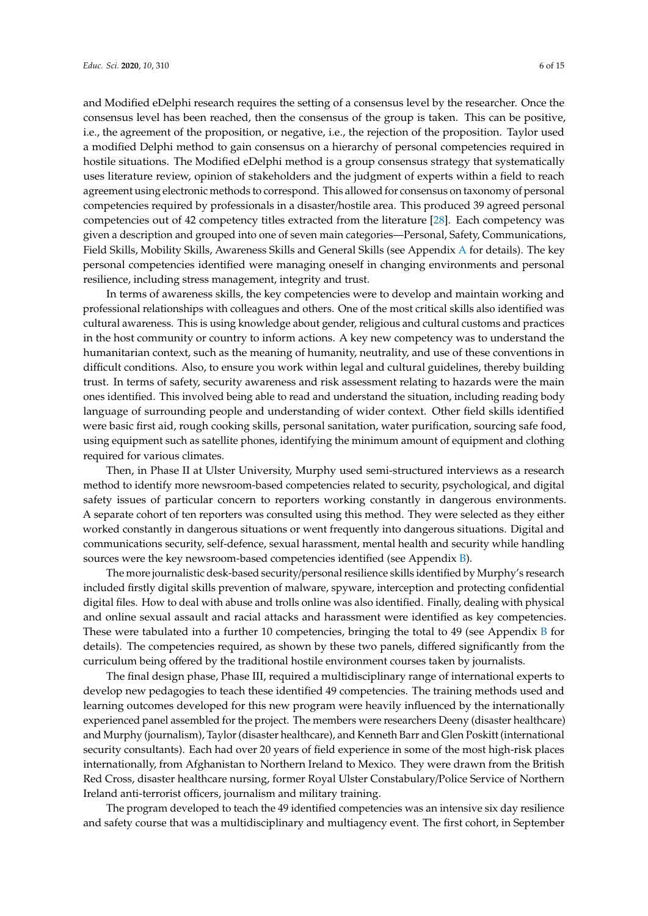and Modified eDelphi research requires the setting of a consensus level by the researcher. Once the consensus level has been reached, then the consensus of the group is taken. This can be positive, i.e., the agreement of the proposition, or negative, i.e., the rejection of the proposition. Taylor used a modified Delphi method to gain consensus on a hierarchy of personal competencies required in hostile situations. The Modified eDelphi method is a group consensus strategy that systematically uses literature review, opinion of stakeholders and the judgment of experts within a field to reach agreement using electronic methods to correspond. This allowed for consensus on taxonomy of personal competencies required by professionals in a disaster/hostile area. This produced 39 agreed personal competencies out of 42 competency titles extracted from the literature [\[28\]](#page-14-12). Each competency was given a description and grouped into one of seven main categories—Personal, Safety, Communications, Field Skills, Mobility Skills, Awareness Skills and General Skills (see Appendix [A](#page-11-0) for details). The key personal competencies identified were managing oneself in changing environments and personal resilience, including stress management, integrity and trust.

In terms of awareness skills, the key competencies were to develop and maintain working and professional relationships with colleagues and others. One of the most critical skills also identified was cultural awareness. This is using knowledge about gender, religious and cultural customs and practices in the host community or country to inform actions. A key new competency was to understand the humanitarian context, such as the meaning of humanity, neutrality, and use of these conventions in difficult conditions. Also, to ensure you work within legal and cultural guidelines, thereby building trust. In terms of safety, security awareness and risk assessment relating to hazards were the main ones identified. This involved being able to read and understand the situation, including reading body language of surrounding people and understanding of wider context. Other field skills identified were basic first aid, rough cooking skills, personal sanitation, water purification, sourcing safe food, using equipment such as satellite phones, identifying the minimum amount of equipment and clothing required for various climates.

Then, in Phase II at Ulster University, Murphy used semi-structured interviews as a research method to identify more newsroom-based competencies related to security, psychological, and digital safety issues of particular concern to reporters working constantly in dangerous environments. A separate cohort of ten reporters was consulted using this method. They were selected as they either worked constantly in dangerous situations or went frequently into dangerous situations. Digital and communications security, self-defence, sexual harassment, mental health and security while handling sources were the key newsroom-based competencies identified (see Appendix [B\)](#page-13-15).

The more journalistic desk-based security/personal resilience skills identified by Murphy's research included firstly digital skills prevention of malware, spyware, interception and protecting confidential digital files. How to deal with abuse and trolls online was also identified. Finally, dealing with physical and online sexual assault and racial attacks and harassment were identified as key competencies. These were tabulated into a further 10 competencies, bringing the total to 49 (see Appendix [B](#page-13-15) for details). The competencies required, as shown by these two panels, differed significantly from the curriculum being offered by the traditional hostile environment courses taken by journalists.

The final design phase, Phase III, required a multidisciplinary range of international experts to develop new pedagogies to teach these identified 49 competencies. The training methods used and learning outcomes developed for this new program were heavily influenced by the internationally experienced panel assembled for the project. The members were researchers Deeny (disaster healthcare) and Murphy (journalism), Taylor (disaster healthcare), and Kenneth Barr and Glen Poskitt (international security consultants). Each had over 20 years of field experience in some of the most high-risk places internationally, from Afghanistan to Northern Ireland to Mexico. They were drawn from the British Red Cross, disaster healthcare nursing, former Royal Ulster Constabulary/Police Service of Northern Ireland anti-terrorist officers, journalism and military training.

The program developed to teach the 49 identified competencies was an intensive six day resilience and safety course that was a multidisciplinary and multiagency event. The first cohort, in September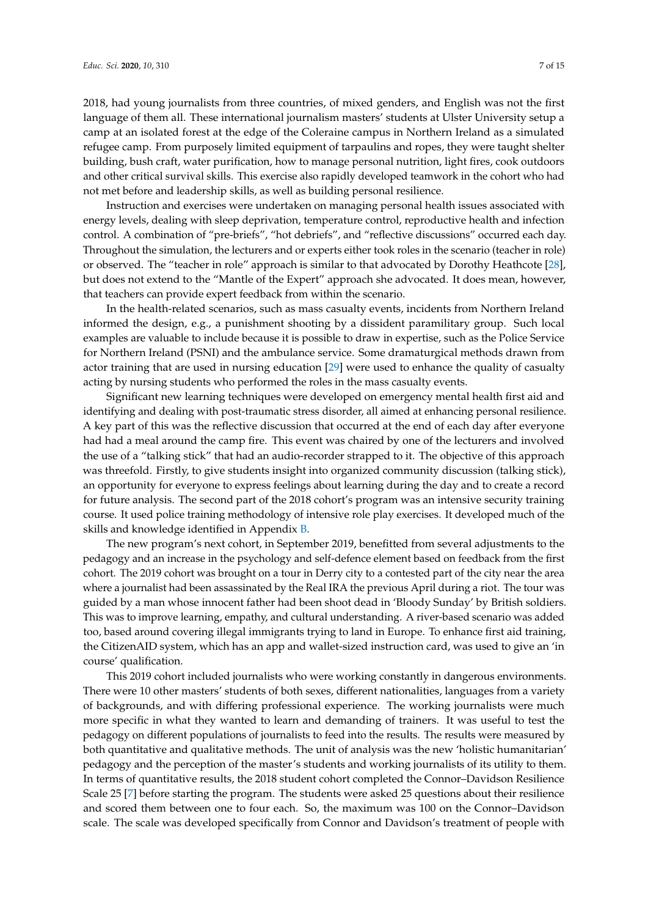2018, had young journalists from three countries, of mixed genders, and English was not the first language of them all. These international journalism masters' students at Ulster University setup a camp at an isolated forest at the edge of the Coleraine campus in Northern Ireland as a simulated refugee camp. From purposely limited equipment of tarpaulins and ropes, they were taught shelter building, bush craft, water purification, how to manage personal nutrition, light fires, cook outdoors and other critical survival skills. This exercise also rapidly developed teamwork in the cohort who had not met before and leadership skills, as well as building personal resilience.

Instruction and exercises were undertaken on managing personal health issues associated with energy levels, dealing with sleep deprivation, temperature control, reproductive health and infection control. A combination of "pre-briefs", "hot debriefs", and "reflective discussions" occurred each day. Throughout the simulation, the lecturers and or experts either took roles in the scenario (teacher in role) or observed. The "teacher in role" approach is similar to that advocated by Dorothy Heathcote [\[28\]](#page-14-12), but does not extend to the "Mantle of the Expert" approach she advocated. It does mean, however, that teachers can provide expert feedback from within the scenario.

In the health-related scenarios, such as mass casualty events, incidents from Northern Ireland informed the design, e.g., a punishment shooting by a dissident paramilitary group. Such local examples are valuable to include because it is possible to draw in expertise, such as the Police Service for Northern Ireland (PSNI) and the ambulance service. Some dramaturgical methods drawn from actor training that are used in nursing education [\[29\]](#page-14-13) were used to enhance the quality of casualty acting by nursing students who performed the roles in the mass casualty events.

Significant new learning techniques were developed on emergency mental health first aid and identifying and dealing with post-traumatic stress disorder, all aimed at enhancing personal resilience. A key part of this was the reflective discussion that occurred at the end of each day after everyone had had a meal around the camp fire. This event was chaired by one of the lecturers and involved the use of a "talking stick" that had an audio-recorder strapped to it. The objective of this approach was threefold. Firstly, to give students insight into organized community discussion (talking stick), an opportunity for everyone to express feelings about learning during the day and to create a record for future analysis. The second part of the 2018 cohort's program was an intensive security training course. It used police training methodology of intensive role play exercises. It developed much of the skills and knowledge identified in Appendix [B.](#page-13-15)

The new program's next cohort, in September 2019, benefitted from several adjustments to the pedagogy and an increase in the psychology and self-defence element based on feedback from the first cohort. The 2019 cohort was brought on a tour in Derry city to a contested part of the city near the area where a journalist had been assassinated by the Real IRA the previous April during a riot. The tour was guided by a man whose innocent father had been shoot dead in 'Bloody Sunday' by British soldiers. This was to improve learning, empathy, and cultural understanding. A river-based scenario was added too, based around covering illegal immigrants trying to land in Europe. To enhance first aid training, the CitizenAID system, which has an app and wallet-sized instruction card, was used to give an 'in course' qualification.

This 2019 cohort included journalists who were working constantly in dangerous environments. There were 10 other masters' students of both sexes, different nationalities, languages from a variety of backgrounds, and with differing professional experience. The working journalists were much more specific in what they wanted to learn and demanding of trainers. It was useful to test the pedagogy on different populations of journalists to feed into the results. The results were measured by both quantitative and qualitative methods. The unit of analysis was the new 'holistic humanitarian' pedagogy and the perception of the master's students and working journalists of its utility to them. In terms of quantitative results, the 2018 student cohort completed the Connor–Davidson Resilience Scale 25 [\[7\]](#page-13-5) before starting the program. The students were asked 25 questions about their resilience and scored them between one to four each. So, the maximum was 100 on the Connor–Davidson scale. The scale was developed specifically from Connor and Davidson's treatment of people with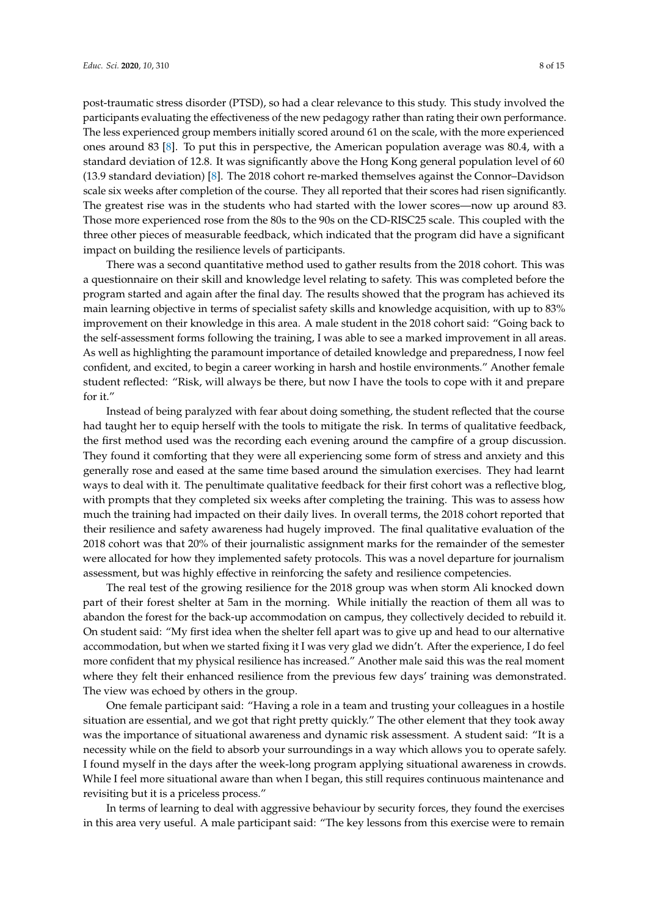post-traumatic stress disorder (PTSD), so had a clear relevance to this study. This study involved the participants evaluating the effectiveness of the new pedagogy rather than rating their own performance. The less experienced group members initially scored around 61 on the scale, with the more experienced ones around 83 [\[8\]](#page-13-6). To put this in perspective, the American population average was 80.4, with a standard deviation of 12.8. It was significantly above the Hong Kong general population level of 60 (13.9 standard deviation) [\[8\]](#page-13-6). The 2018 cohort re-marked themselves against the Connor–Davidson scale six weeks after completion of the course. They all reported that their scores had risen significantly. The greatest rise was in the students who had started with the lower scores—now up around 83. Those more experienced rose from the 80s to the 90s on the CD-RISC25 scale. This coupled with the three other pieces of measurable feedback, which indicated that the program did have a significant impact on building the resilience levels of participants.

There was a second quantitative method used to gather results from the 2018 cohort. This was a questionnaire on their skill and knowledge level relating to safety. This was completed before the program started and again after the final day. The results showed that the program has achieved its main learning objective in terms of specialist safety skills and knowledge acquisition, with up to 83% improvement on their knowledge in this area. A male student in the 2018 cohort said: "Going back to the self-assessment forms following the training, I was able to see a marked improvement in all areas. As well as highlighting the paramount importance of detailed knowledge and preparedness, I now feel confident, and excited, to begin a career working in harsh and hostile environments." Another female student reflected: "Risk, will always be there, but now I have the tools to cope with it and prepare for it."

Instead of being paralyzed with fear about doing something, the student reflected that the course had taught her to equip herself with the tools to mitigate the risk. In terms of qualitative feedback, the first method used was the recording each evening around the campfire of a group discussion. They found it comforting that they were all experiencing some form of stress and anxiety and this generally rose and eased at the same time based around the simulation exercises. They had learnt ways to deal with it. The penultimate qualitative feedback for their first cohort was a reflective blog, with prompts that they completed six weeks after completing the training. This was to assess how much the training had impacted on their daily lives. In overall terms, the 2018 cohort reported that their resilience and safety awareness had hugely improved. The final qualitative evaluation of the 2018 cohort was that 20% of their journalistic assignment marks for the remainder of the semester were allocated for how they implemented safety protocols. This was a novel departure for journalism assessment, but was highly effective in reinforcing the safety and resilience competencies.

The real test of the growing resilience for the 2018 group was when storm Ali knocked down part of their forest shelter at 5am in the morning. While initially the reaction of them all was to abandon the forest for the back-up accommodation on campus, they collectively decided to rebuild it. On student said: "My first idea when the shelter fell apart was to give up and head to our alternative accommodation, but when we started fixing it I was very glad we didn't. After the experience, I do feel more confident that my physical resilience has increased." Another male said this was the real moment where they felt their enhanced resilience from the previous few days' training was demonstrated. The view was echoed by others in the group.

One female participant said: "Having a role in a team and trusting your colleagues in a hostile situation are essential, and we got that right pretty quickly." The other element that they took away was the importance of situational awareness and dynamic risk assessment. A student said: "It is a necessity while on the field to absorb your surroundings in a way which allows you to operate safely. I found myself in the days after the week-long program applying situational awareness in crowds. While I feel more situational aware than when I began, this still requires continuous maintenance and revisiting but it is a priceless process."

In terms of learning to deal with aggressive behaviour by security forces, they found the exercises in this area very useful. A male participant said: "The key lessons from this exercise were to remain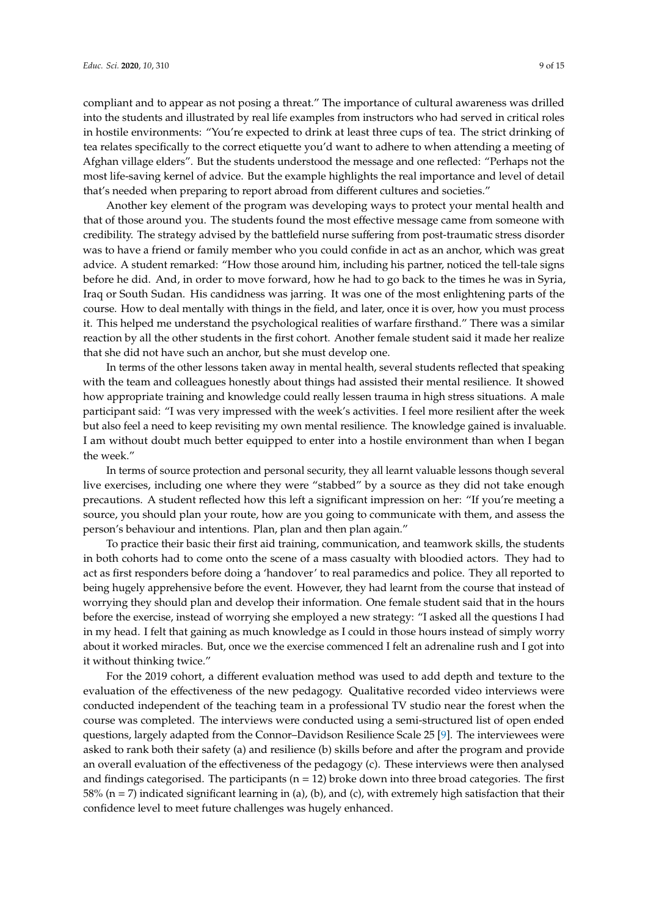compliant and to appear as not posing a threat." The importance of cultural awareness was drilled into the students and illustrated by real life examples from instructors who had served in critical roles in hostile environments: "You're expected to drink at least three cups of tea. The strict drinking of tea relates specifically to the correct etiquette you'd want to adhere to when attending a meeting of Afghan village elders". But the students understood the message and one reflected: "Perhaps not the most life-saving kernel of advice. But the example highlights the real importance and level of detail that's needed when preparing to report abroad from different cultures and societies."

Another key element of the program was developing ways to protect your mental health and that of those around you. The students found the most effective message came from someone with credibility. The strategy advised by the battlefield nurse suffering from post-traumatic stress disorder was to have a friend or family member who you could confide in act as an anchor, which was great advice. A student remarked: "How those around him, including his partner, noticed the tell-tale signs before he did. And, in order to move forward, how he had to go back to the times he was in Syria, Iraq or South Sudan. His candidness was jarring. It was one of the most enlightening parts of the course. How to deal mentally with things in the field, and later, once it is over, how you must process it. This helped me understand the psychological realities of warfare firsthand." There was a similar reaction by all the other students in the first cohort. Another female student said it made her realize that she did not have such an anchor, but she must develop one.

In terms of the other lessons taken away in mental health, several students reflected that speaking with the team and colleagues honestly about things had assisted their mental resilience. It showed how appropriate training and knowledge could really lessen trauma in high stress situations. A male participant said: "I was very impressed with the week's activities. I feel more resilient after the week but also feel a need to keep revisiting my own mental resilience. The knowledge gained is invaluable. I am without doubt much better equipped to enter into a hostile environment than when I began the week."

In terms of source protection and personal security, they all learnt valuable lessons though several live exercises, including one where they were "stabbed" by a source as they did not take enough precautions. A student reflected how this left a significant impression on her: "If you're meeting a source, you should plan your route, how are you going to communicate with them, and assess the person's behaviour and intentions. Plan, plan and then plan again."

To practice their basic their first aid training, communication, and teamwork skills, the students in both cohorts had to come onto the scene of a mass casualty with bloodied actors. They had to act as first responders before doing a 'handover' to real paramedics and police. They all reported to being hugely apprehensive before the event. However, they had learnt from the course that instead of worrying they should plan and develop their information. One female student said that in the hours before the exercise, instead of worrying she employed a new strategy: "I asked all the questions I had in my head. I felt that gaining as much knowledge as I could in those hours instead of simply worry about it worked miracles. But, once we the exercise commenced I felt an adrenaline rush and I got into it without thinking twice."

For the 2019 cohort, a different evaluation method was used to add depth and texture to the evaluation of the effectiveness of the new pedagogy. Qualitative recorded video interviews were conducted independent of the teaching team in a professional TV studio near the forest when the course was completed. The interviews were conducted using a semi-structured list of open ended questions, largely adapted from the Connor–Davidson Resilience Scale 25 [\[9\]](#page-13-7). The interviewees were asked to rank both their safety (a) and resilience (b) skills before and after the program and provide an overall evaluation of the effectiveness of the pedagogy (c). These interviews were then analysed and findings categorised. The participants  $(n = 12)$  broke down into three broad categories. The first 58% (n = 7) indicated significant learning in (a), (b), and (c), with extremely high satisfaction that their confidence level to meet future challenges was hugely enhanced.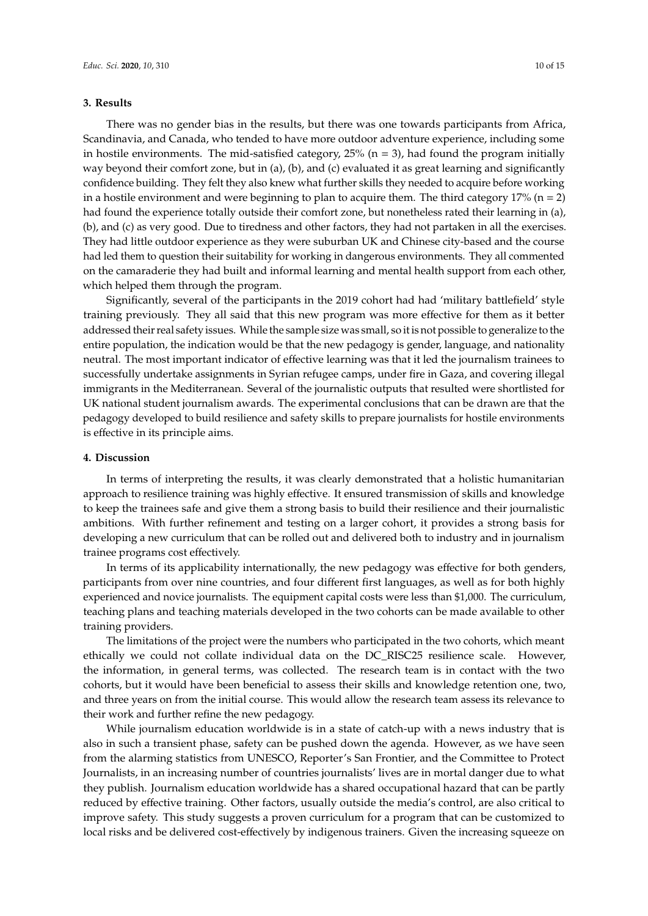#### <span id="page-9-0"></span>**3. Results**

There was no gender bias in the results, but there was one towards participants from Africa, Scandinavia, and Canada, who tended to have more outdoor adventure experience, including some in hostile environments. The mid-satisfied category,  $25%$  ( $n = 3$ ), had found the program initially way beyond their comfort zone, but in (a), (b), and (c) evaluated it as great learning and significantly confidence building. They felt they also knew what further skills they needed to acquire before working in a hostile environment and were beginning to plan to acquire them. The third category  $17\%$  (n = 2) had found the experience totally outside their comfort zone, but nonetheless rated their learning in (a), (b), and (c) as very good. Due to tiredness and other factors, they had not partaken in all the exercises. They had little outdoor experience as they were suburban UK and Chinese city-based and the course had led them to question their suitability for working in dangerous environments. They all commented on the camaraderie they had built and informal learning and mental health support from each other, which helped them through the program.

Significantly, several of the participants in the 2019 cohort had had 'military battlefield' style training previously. They all said that this new program was more effective for them as it better addressed their real safety issues. While the sample size was small, so it is not possible to generalize to the entire population, the indication would be that the new pedagogy is gender, language, and nationality neutral. The most important indicator of effective learning was that it led the journalism trainees to successfully undertake assignments in Syrian refugee camps, under fire in Gaza, and covering illegal immigrants in the Mediterranean. Several of the journalistic outputs that resulted were shortlisted for UK national student journalism awards. The experimental conclusions that can be drawn are that the pedagogy developed to build resilience and safety skills to prepare journalists for hostile environments is effective in its principle aims.

#### <span id="page-9-1"></span>**4. Discussion**

In terms of interpreting the results, it was clearly demonstrated that a holistic humanitarian approach to resilience training was highly effective. It ensured transmission of skills and knowledge to keep the trainees safe and give them a strong basis to build their resilience and their journalistic ambitions. With further refinement and testing on a larger cohort, it provides a strong basis for developing a new curriculum that can be rolled out and delivered both to industry and in journalism trainee programs cost effectively.

In terms of its applicability internationally, the new pedagogy was effective for both genders, participants from over nine countries, and four different first languages, as well as for both highly experienced and novice journalists. The equipment capital costs were less than \$1,000. The curriculum, teaching plans and teaching materials developed in the two cohorts can be made available to other training providers.

The limitations of the project were the numbers who participated in the two cohorts, which meant ethically we could not collate individual data on the DC\_RISC25 resilience scale. However, the information, in general terms, was collected. The research team is in contact with the two cohorts, but it would have been beneficial to assess their skills and knowledge retention one, two, and three years on from the initial course. This would allow the research team assess its relevance to their work and further refine the new pedagogy.

While journalism education worldwide is in a state of catch-up with a news industry that is also in such a transient phase, safety can be pushed down the agenda. However, as we have seen from the alarming statistics from UNESCO, Reporter's San Frontier, and the Committee to Protect Journalists, in an increasing number of countries journalists' lives are in mortal danger due to what they publish. Journalism education worldwide has a shared occupational hazard that can be partly reduced by effective training. Other factors, usually outside the media's control, are also critical to improve safety. This study suggests a proven curriculum for a program that can be customized to local risks and be delivered cost-effectively by indigenous trainers. Given the increasing squeeze on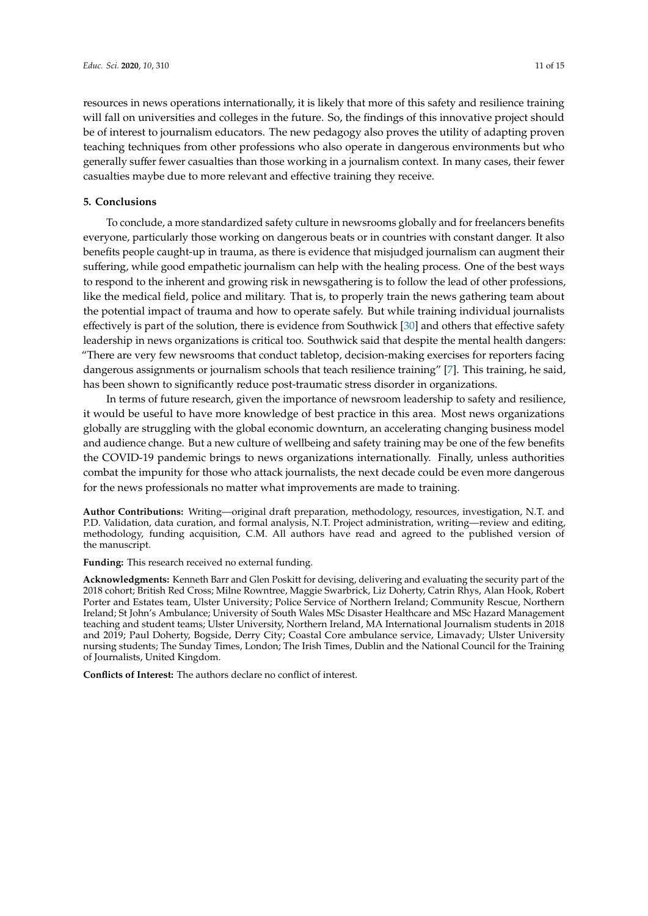resources in news operations internationally, it is likely that more of this safety and resilience training will fall on universities and colleges in the future. So, the findings of this innovative project should be of interest to journalism educators. The new pedagogy also proves the utility of adapting proven teaching techniques from other professions who also operate in dangerous environments but who generally suffer fewer casualties than those working in a journalism context. In many cases, their fewer casualties maybe due to more relevant and effective training they receive.

#### **5. Conclusions**

To conclude, a more standardized safety culture in newsrooms globally and for freelancers benefits everyone, particularly those working on dangerous beats or in countries with constant danger. It also benefits people caught-up in trauma, as there is evidence that misjudged journalism can augment their suffering, while good empathetic journalism can help with the healing process. One of the best ways to respond to the inherent and growing risk in newsgathering is to follow the lead of other professions, like the medical field, police and military. That is, to properly train the news gathering team about the potential impact of trauma and how to operate safely. But while training individual journalists effectively is part of the solution, there is evidence from Southwick [\[30\]](#page-14-14) and others that effective safety leadership in news organizations is critical too. Southwick said that despite the mental health dangers: "There are very few newsrooms that conduct tabletop, decision-making exercises for reporters facing dangerous assignments or journalism schools that teach resilience training" [\[7\]](#page-13-5). This training, he said, has been shown to significantly reduce post-traumatic stress disorder in organizations.

In terms of future research, given the importance of newsroom leadership to safety and resilience, it would be useful to have more knowledge of best practice in this area. Most news organizations globally are struggling with the global economic downturn, an accelerating changing business model and audience change. But a new culture of wellbeing and safety training may be one of the few benefits the COVID-19 pandemic brings to news organizations internationally. Finally, unless authorities combat the impunity for those who attack journalists, the next decade could be even more dangerous for the news professionals no matter what improvements are made to training.

**Author Contributions:** Writing—original draft preparation, methodology, resources, investigation, N.T. and P.D. Validation, data curation, and formal analysis, N.T. Project administration, writing—review and editing, methodology, funding acquisition, C.M. All authors have read and agreed to the published version of the manuscript.

**Funding:** This research received no external funding.

**Acknowledgments:** Kenneth Barr and Glen Poskitt for devising, delivering and evaluating the security part of the 2018 cohort; British Red Cross; Milne Rowntree, Maggie Swarbrick, Liz Doherty, Catrin Rhys, Alan Hook, Robert Porter and Estates team, Ulster University; Police Service of Northern Ireland; Community Rescue, Northern Ireland; St John's Ambulance; University of South Wales MSc Disaster Healthcare and MSc Hazard Management teaching and student teams; Ulster University, Northern Ireland, MA International Journalism students in 2018 and 2019; Paul Doherty, Bogside, Derry City; Coastal Core ambulance service, Limavady; Ulster University nursing students; The Sunday Times, London; The Irish Times, Dublin and the National Council for the Training of Journalists, United Kingdom.

**Conflicts of Interest:** The authors declare no conflict of interest.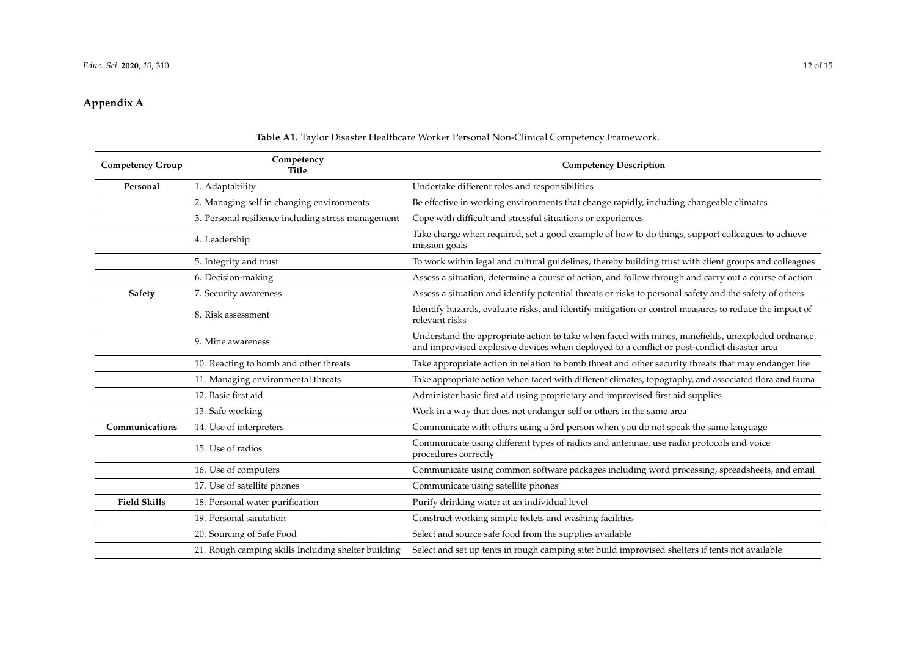# **Appendix A**

<span id="page-11-0"></span>

| <b>Competency Group</b>         | Competency<br>Title                                 | <b>Competency Description</b><br>Undertake different roles and responsibilities                                                                                                                  |  |  |
|---------------------------------|-----------------------------------------------------|--------------------------------------------------------------------------------------------------------------------------------------------------------------------------------------------------|--|--|
| Personal                        | 1. Adaptability                                     |                                                                                                                                                                                                  |  |  |
|                                 | 2. Managing self in changing environments           | Be effective in working environments that change rapidly, including changeable climates                                                                                                          |  |  |
|                                 | 3. Personal resilience including stress management  | Cope with difficult and stressful situations or experiences                                                                                                                                      |  |  |
|                                 | 4. Leadership                                       | Take charge when required, set a good example of how to do things, support colleagues to achieve<br>mission goals                                                                                |  |  |
|                                 | 5. Integrity and trust                              | To work within legal and cultural guidelines, thereby building trust with client groups and colleagues                                                                                           |  |  |
|                                 | 6. Decision-making                                  | Assess a situation, determine a course of action, and follow through and carry out a course of action                                                                                            |  |  |
| 7. Security awareness<br>Safety |                                                     | Assess a situation and identify potential threats or risks to personal safety and the safety of others                                                                                           |  |  |
|                                 | 8. Risk assessment                                  | Identify hazards, evaluate risks, and identify mitigation or control measures to reduce the impact of<br>relevant risks                                                                          |  |  |
|                                 | 9. Mine awareness                                   | Understand the appropriate action to take when faced with mines, minefields, unexploded ordnance,<br>and improvised explosive devices when deployed to a conflict or post-conflict disaster area |  |  |
|                                 | 10. Reacting to bomb and other threats              | Take appropriate action in relation to bomb threat and other security threats that may endanger life                                                                                             |  |  |
|                                 | 11. Managing environmental threats                  | Take appropriate action when faced with different climates, topography, and associated flora and fauna                                                                                           |  |  |
|                                 | 12. Basic first aid                                 | Administer basic first aid using proprietary and improvised first aid supplies                                                                                                                   |  |  |
|                                 | 13. Safe working                                    | Work in a way that does not endanger self or others in the same area                                                                                                                             |  |  |
| Communications                  | 14. Use of interpreters                             | Communicate with others using a 3rd person when you do not speak the same language                                                                                                               |  |  |
|                                 | 15. Use of radios                                   | Communicate using different types of radios and antennae, use radio protocols and voice<br>procedures correctly                                                                                  |  |  |
|                                 | 16. Use of computers                                | Communicate using common software packages including word processing, spreadsheets, and email                                                                                                    |  |  |
|                                 | 17. Use of satellite phones                         | Communicate using satellite phones                                                                                                                                                               |  |  |
| <b>Field Skills</b>             | 18. Personal water purification                     | Purify drinking water at an individual level                                                                                                                                                     |  |  |
|                                 | 19. Personal sanitation                             | Construct working simple toilets and washing facilities                                                                                                                                          |  |  |
|                                 | 20. Sourcing of Safe Food                           | Select and source safe food from the supplies available                                                                                                                                          |  |  |
|                                 | 21. Rough camping skills Including shelter building | Select and set up tents in rough camping site; build improvised shelters if tents not available                                                                                                  |  |  |

## **Table A1.** Taylor Disaster Healthcare Worker Personal Non-Clinical Competency Framework.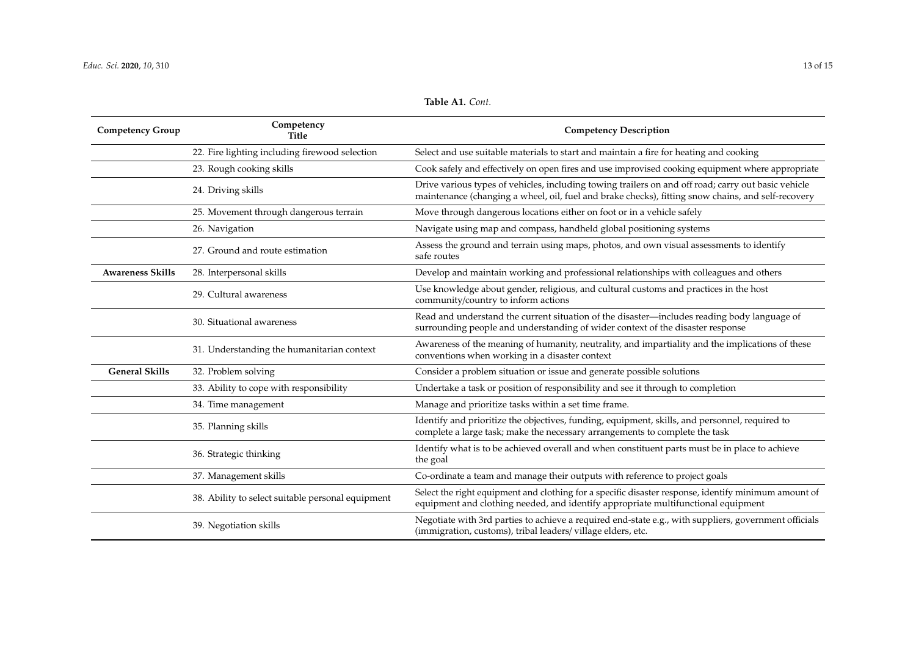| Table A1. Cont. |  |  |
|-----------------|--|--|
|-----------------|--|--|

| <b>Competency Group</b> | Competency<br><b>Title</b>                        | <b>Competency Description</b>                                                                                                                                                                             |  |  |
|-------------------------|---------------------------------------------------|-----------------------------------------------------------------------------------------------------------------------------------------------------------------------------------------------------------|--|--|
|                         | 22. Fire lighting including firewood selection    | Select and use suitable materials to start and maintain a fire for heating and cooking                                                                                                                    |  |  |
|                         | 23. Rough cooking skills                          | Cook safely and effectively on open fires and use improvised cooking equipment where appropriate                                                                                                          |  |  |
|                         | 24. Driving skills                                | Drive various types of vehicles, including towing trailers on and off road; carry out basic vehicle<br>maintenance (changing a wheel, oil, fuel and brake checks), fitting snow chains, and self-recovery |  |  |
|                         | 25. Movement through dangerous terrain            | Move through dangerous locations either on foot or in a vehicle safely                                                                                                                                    |  |  |
|                         | 26. Navigation                                    | Navigate using map and compass, handheld global positioning systems                                                                                                                                       |  |  |
|                         | 27. Ground and route estimation                   | Assess the ground and terrain using maps, photos, and own visual assessments to identify<br>safe routes                                                                                                   |  |  |
| <b>Awareness Skills</b> | 28. Interpersonal skills                          | Develop and maintain working and professional relationships with colleagues and others                                                                                                                    |  |  |
|                         | 29. Cultural awareness                            | Use knowledge about gender, religious, and cultural customs and practices in the host<br>community/country to inform actions                                                                              |  |  |
|                         | 30. Situational awareness                         | Read and understand the current situation of the disaster—includes reading body language of<br>surrounding people and understanding of wider context of the disaster response                             |  |  |
|                         | 31. Understanding the humanitarian context        | Awareness of the meaning of humanity, neutrality, and impartiality and the implications of these<br>conventions when working in a disaster context                                                        |  |  |
| <b>General Skills</b>   | 32. Problem solving                               | Consider a problem situation or issue and generate possible solutions                                                                                                                                     |  |  |
|                         | 33. Ability to cope with responsibility           | Undertake a task or position of responsibility and see it through to completion                                                                                                                           |  |  |
|                         | 34. Time management                               | Manage and prioritize tasks within a set time frame.                                                                                                                                                      |  |  |
|                         | 35. Planning skills                               | Identify and prioritize the objectives, funding, equipment, skills, and personnel, required to<br>complete a large task; make the necessary arrangements to complete the task                             |  |  |
|                         | 36. Strategic thinking                            | Identify what is to be achieved overall and when constituent parts must be in place to achieve<br>the goal                                                                                                |  |  |
|                         | 37. Management skills                             | Co-ordinate a team and manage their outputs with reference to project goals                                                                                                                               |  |  |
|                         | 38. Ability to select suitable personal equipment | Select the right equipment and clothing for a specific disaster response, identify minimum amount of<br>equipment and clothing needed, and identify appropriate multifunctional equipment                 |  |  |
|                         | 39. Negotiation skills                            | Negotiate with 3rd parties to achieve a required end-state e.g., with suppliers, government officials<br>(immigration, customs), tribal leaders/village elders, etc.                                      |  |  |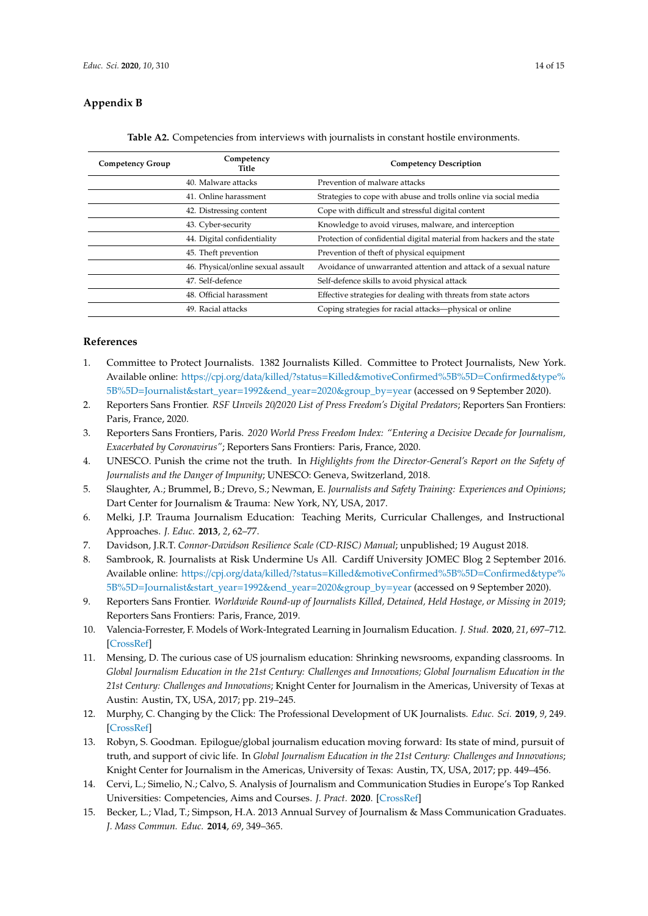#### <span id="page-13-15"></span>**Appendix B**

| <b>Competency Group</b> | Competency<br>Title                | <b>Competency Description</b>                                          |  |  |
|-------------------------|------------------------------------|------------------------------------------------------------------------|--|--|
|                         | 40. Malware attacks                | Prevention of malware attacks                                          |  |  |
|                         | 41. Online harassment              | Strategies to cope with abuse and trolls online via social media       |  |  |
|                         | 42. Distressing content            | Cope with difficult and stressful digital content                      |  |  |
| 43. Cyber-security      |                                    | Knowledge to avoid viruses, malware, and interception                  |  |  |
|                         | 44. Digital confidentiality        | Protection of confidential digital material from hackers and the state |  |  |
|                         | 45. Theft prevention               | Prevention of theft of physical equipment                              |  |  |
|                         | 46. Physical/online sexual assault | Avoidance of unwarranted attention and attack of a sexual nature       |  |  |
|                         | 47. Self-defence                   | Self-defence skills to avoid physical attack                           |  |  |
|                         | 48. Official harassment            | Effective strategies for dealing with threats from state actors        |  |  |
|                         | 49. Racial attacks                 | Coping strategies for racial attacks-physical or online                |  |  |

|  |  |  |  |  | Table A2. Competencies from interviews with journalists in constant hostile environments. |
|--|--|--|--|--|-------------------------------------------------------------------------------------------|
|--|--|--|--|--|-------------------------------------------------------------------------------------------|

#### **References**

- <span id="page-13-0"></span>1. Committee to Protect Journalists. 1382 Journalists Killed. Committee to Protect Journalists, New York. Available online: https://cpj.org/data/killed/?status=[Killed&motiveConfirmed%5B%5D](https://cpj.org/data/killed/?status=Killed&motiveConfirmed%5B%5D=Confirmed&type%5B%5D=Journalist&start_year=1992&end_year=2020&group_by=year)=Confirmed&type% 5B%5D=[Journalist&start\\_year](https://cpj.org/data/killed/?status=Killed&motiveConfirmed%5B%5D=Confirmed&type%5B%5D=Journalist&start_year=1992&end_year=2020&group_by=year)=1992&end\_year=2020&group\_by=year (accessed on 9 September 2020).
- <span id="page-13-1"></span>2. Reporters Sans Frontier. *RSF Unveils 20*/*2020 List of Press Freedom's Digital Predators*; Reporters San Frontiers: Paris, France, 2020.
- <span id="page-13-2"></span>3. Reporters Sans Frontiers, Paris. *2020 World Press Freedom Index: "Entering a Decisive Decade for Journalism, Exacerbated by Coronavirus"*; Reporters Sans Frontiers: Paris, France, 2020.
- <span id="page-13-3"></span>4. UNESCO. Punish the crime not the truth. In *Highlights from the Director-General's Report on the Safety of Journalists and the Danger of Impunity*; UNESCO: Geneva, Switzerland, 2018.
- <span id="page-13-14"></span>5. Slaughter, A.; Brummel, B.; Drevo, S.; Newman, E. *Journalists and Safety Training: Experiences and Opinions*; Dart Center for Journalism & Trauma: New York, NY, USA, 2017.
- <span id="page-13-4"></span>6. Melki, J.P. Trauma Journalism Education: Teaching Merits, Curricular Challenges, and Instructional Approaches. *J. Educ.* **2013**, *2*, 62–77.
- <span id="page-13-5"></span>7. Davidson, J.R.T. *Connor-Davidson Resilience Scale (CD-RISC) Manual*; unpublished; 19 August 2018.
- <span id="page-13-6"></span>8. Sambrook, R. Journalists at Risk Undermine Us All. Cardiff University JOMEC Blog 2 September 2016. Available online: https://cpj.org/data/killed/?status=[Killed&motiveConfirmed%5B%5D](https://cpj.org/data/killed/?status=Killed&motiveConfirmed%5B%5D=Confirmed&type%5B%5D=Journalist&start_year=1992&end_year=2020&group_by=year)=Confirmed&type% 5B%5D=[Journalist&start\\_year](https://cpj.org/data/killed/?status=Killed&motiveConfirmed%5B%5D=Confirmed&type%5B%5D=Journalist&start_year=1992&end_year=2020&group_by=year)=1992&end\_year=2020&group\_by=year (accessed on 9 September 2020).
- <span id="page-13-7"></span>9. Reporters Sans Frontier. *Worldwide Round-up of Journalists Killed, Detained, Held Hostage, or Missing in 2019*; Reporters Sans Frontiers: Paris, France, 2019.
- <span id="page-13-8"></span>10. Valencia-Forrester, F. Models of Work-Integrated Learning in Journalism Education. *J. Stud.* **2020**, *21*, 697–712. [\[CrossRef\]](http://dx.doi.org/10.1080/1461670X.2020.1719875)
- <span id="page-13-12"></span>11. Mensing, D. The curious case of US journalism education: Shrinking newsrooms, expanding classrooms. In *Global Journalism Education in the 21st Century: Challenges and Innovations; Global Journalism Education in the 21st Century: Challenges and Innovations*; Knight Center for Journalism in the Americas, University of Texas at Austin: Austin, TX, USA, 2017; pp. 219–245.
- <span id="page-13-9"></span>12. Murphy, C. Changing by the Click: The Professional Development of UK Journalists. *Educ. Sci.* **2019**, *9*, 249. [\[CrossRef\]](http://dx.doi.org/10.3390/educsci9040249)
- <span id="page-13-10"></span>13. Robyn, S. Goodman. Epilogue/global journalism education moving forward: Its state of mind, pursuit of truth, and support of civic life. In *Global Journalism Education in the 21st Century: Challenges and Innovations*; Knight Center for Journalism in the Americas, University of Texas: Austin, TX, USA, 2017; pp. 449–456.
- <span id="page-13-11"></span>14. Cervi, L.; Simelio, N.; Calvo, S. Analysis of Journalism and Communication Studies in Europe's Top Ranked Universities: Competencies, Aims and Courses. *J. Pract.* **2020**. [\[CrossRef\]](http://dx.doi.org/10.1080/17512786.2020.1762505)
- <span id="page-13-13"></span>15. Becker, L.; Vlad, T.; Simpson, H.A. 2013 Annual Survey of Journalism & Mass Communication Graduates. *J. Mass Commun. Educ.* **2014**, *69*, 349–365.